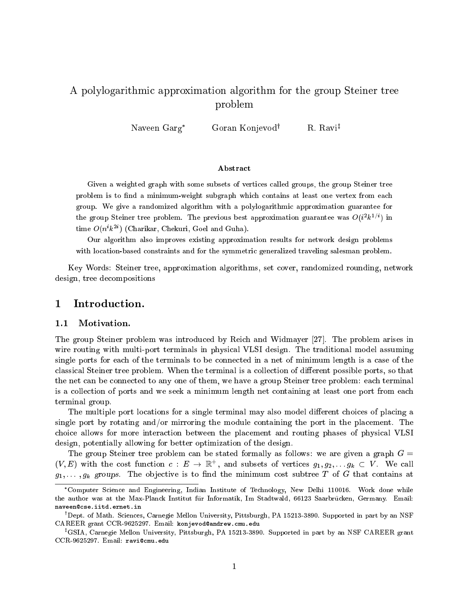# A polylogarithmi approximation algorithm for the group Steiner tree problem

Naveen Garg\* Goran Konjevod<sup>†</sup> R. Ravi<sup>‡</sup>

# **Abstract**

Given <sup>a</sup> weighted graph with some subsets of verti
es alled groups, the group Steiner tree problem is to minimum-weight subgraph which contains at least contains from each  $\sim$ group. We give <sup>a</sup> randomized algorithm with <sup>a</sup> polylogarithmi approximation guarantee for the group Steiner tree problem. The previous best approximation guarantee was  $O(i^{\frac{1}{k}}i^{\frac{1}{k}})$  in  $\lim_{k \to \infty} O(n^k \kappa^{-k})$  (Charikar, Chekuri, Goel and Guha).

Our algorithm also improves existing approximation results for network design problems with local and for the symmetric salesman problem. The symmetric salesman problem. The symmetric sales may be

Key Words: Steiner tree, approximation algorithms, set over, randomized rounding, network design, tree de
ompositions

# 1Introduction.

#### 1.1Motivation.

The group Steiner problem was introduced by Reich and Widmayer [27]. The problem arises in wire routing with multi-port terminals in physical VLSI design. The traditional model assuming single ports for each of the terminals to be connected in a net of minimum length is a case of the classical Steiner tree problem. When the terminal is a collection of different possible ports, so that the net can be connected to any one of them, we have a group Steiner tree problem: each terminal is a collection of ports and we seek a minimum length net containing at least one port from each terminal group.

The multiple port locations for a single terminal may also model different choices of placing a single port by rotating and/or mirroring the module containing the port in the placement. The choice allows for more interaction between the placement and routing phases of physical VLSI design, potentially allowing for better optimization of the design.

The group Steiner tree problem can be stated formally as follows: we are given a graph  $G =$  $(V, E)$  with the cost function  $c: E \to \mathbb{R}^+$ , and subsets of vertices  $g_1, g_2, \ldots g_k \subset V$ . We call  $g_{1},\ldots ,g_{K}$  groups. The objective to the minimum computation from the minimum  $\sim$ 

Computer Science and Engineering, Indian Institute of Technology, New Delhi 110016. Work done while the author was at the Max-Planck Institut für Informatik, Im Stadtwald, 66123 Saarbrücken, Germany. Email: naveen@cse.iitd.ernet.in

Dept. of Math. Sciences, Carnegie Mellon University, Pittsburgh, PA 15213-3890. Supported in part by an NSF CAREER grant CCR-9625297. Email: konjevod@andrew.cmu.edu

<sup>z</sup> GSIA, Carnegie Mellon University, Pittsburgh, PA 15213-3890. Supported in part by an NSF CAREER grant CCR-9625297. Email: ravi@cmu.edu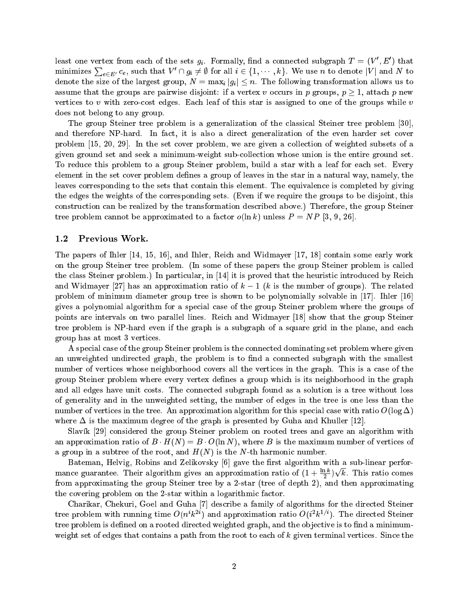reast one vertex from each of the sets  $g_i$ . Formally, find a connected subgraph  $T = (V, E)$  that minimizes  $\sum_{e \in E'} c_e$ , such that  $V' \cap g_i \neq \emptyset$  for all  $i \in \{1, \cdots, k\}$ . We use n to denote  $|V|$  and N to denote the size of the size of the size of the following transformation allows us to the following transformation allows us to the following transformation allows us to the following transformation allows us to the follow assume that the groups are pairwise disjoint: if a vertex v occurs in p groups,  $p \geq 1$ , attach p new vertices to v with zero-cost edges. Each leaf of this star is assigned to one of the groups while v does not belong to any group.

The group Steiner tree problem is a generalization of the classical Steiner tree problem [30]. and therefore NP-hard. In fact, it is also a direct generalization of the even harder set cover problem  $[15, 20, 29]$ . In the set cover problem, we are given a collection of weighted subsets of a given ground set and seek a minimum-weight subolle
tion whose union is the entire ground set. To reduce this problem to a group Steiner problem, build a star with a leaf for each set. Every element in the set cover problem defines a group of leaves in the star in a natural way, namely, the leaves corresponding to the sets that contain this element. The equivalence is completed by giving the edges the weights of the orresponding sets. (Even if we require the groups to be disjoint, this onstru
tion an be realized by the transformation des
ribed above.) Therefore, the group Steiner tree problem cannot be approximated to a factor  $o(\ln k)$  unless  $P = NP$  [3, 9, 26].

#### 1.2Previous Work.

The papers of Ihler  $[14, 15, 16]$ , and Ihler, Reich and Widmayer  $[17, 18]$  contain some early work on the group Steiner tree problem. (In some of these papers the group Steiner problem is alled the class Steiner problem.) In particular, in  $[14]$  it is proved that the heuristic introduced by Reich and Widmayer [27] has an approximation ratio of  $k - 1$  (k is the number of groups). The related problem of minimum diameter group tree is shown to be polynomially solvable in  $[17]$ . Ihler  $[16]$ gives a polynomial algorithm for a special case of the group Steiner problem where the groups of points are intervals on two parallel lines. Reich and Widmayer [18] show that the group Steiner tree problem is NP-hard even if the graph is a subgraph of a square grid in the plane, and ea
h group has at most 3 verti
es.

A spe
ial ase of the group Steiner problem is the onne
ted dominating set problem where given an unweighted undirected graph, the problem is to find a connected subgraph with the smallest number of vertices whose neighborhood covers all the vertices in the graph. This is a case of the group Steiner problem where every vertex defines a group which is its neighborhood in the graph and all edges have unit osts. The onne
ted subgraph found as a solution is a tree without loss of generality and in the unweighted setting, the number of edges in the tree is one less than the number of vertices in the tree. An approximation algorithm for this special case with ratio  $O(\log \Delta)$ where  $\Delta$  is the maximum degree of the graph is presented by Guha and Khuller [12].

Slavík [29] considered the group Steiner problem on rooted trees and gave an algorithm with an approximation ratio of  $B \cdot H(N) = B \cdot O(\ln N)$ , where B is the maximum number of vertices of a group in a subtree of the root, and  $H(N)$  is the N-th harmonic number.

Bateman, Helvig, Robins and Zelikovsky  $[6]$  gave the first algorithm with a sub-linear performance guarantee. Their algorithm gives an approximation ratio of  $(1 + \frac{1}{2})$ provide a contract of the contract of the contract of the contract of the contract of the contract of the contract of the contract of the contract of the contract of the contract of the contract of the contract of the cont from approximating the group Steiner tree by a 2-star (tree of depth 2), and then approximating the covering problem on the 2-star within a logarithmic factor.

Charikar, Chekuri, Goel and Guha [7] describe a family of algorithms for the directed Steiner tree problem with running time  $O(n\kappa^{2})$  and approximation ratio  $O(n\kappa^{2})$ . The directed Steiner tree problem is defined on a rooted directed weighted graph, and the objective is to find a minimumweight set of edges that contains a path from the root to each of  $k$  given terminal vertices. Since the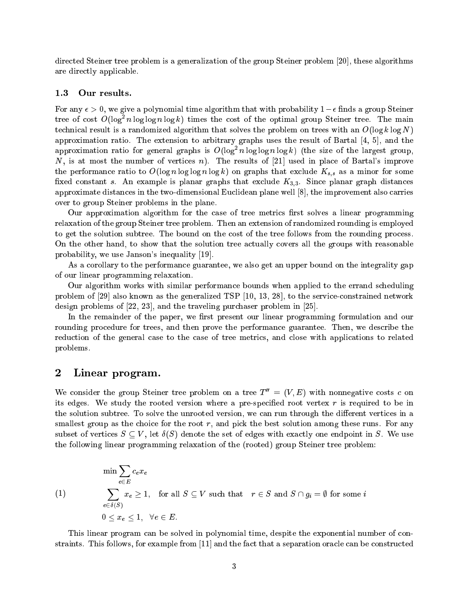directed Steiner tree problem is a generalization of the group Steiner problem [20], these algorithms are dire
tly appli
able.

#### 1.3Our results.

For any  $\epsilon > 0$ , we give a polynomial time algorithm that with probability  $1 - \epsilon$  finds a group Steiner tree of cost  $O(\log n \log n \log \kappa)$  times the cost of the optimal group Steiner tree. The main technical result is a randomized algorithm that solves the problem on trees with an  $O(\log k \log N)$ approximation ratio. The extension to arbitrary graphs uses the result of Bartal  $[4, 5]$ , and the approximation ratio for general graphs is  $O(\log^2 n \log \log n \log \kappa)$  (the size of the largest group,  $N$ , is at most the number of vertices n). The results of [21] used in place of Bartal's improve the performan
e ratio to O(log n log log n log k) on graphs that ex
lude Ks;s as <sup>a</sup> minor for some fixed constant s. An example is planar graphs that exclude  $K_{3,3}$ . Since planar graph distances approximate distances in the two-dimensional Euclidean plane well  $[8]$ , the improvement also carries over to group Steiner problems in the plane.

Our approximation algorithm for the case of tree metrics first solves a linear programming relaxation of the group Steiner tree problem. Then an extension of randomized rounding is employed to get the solution subtree. The bound on the cost of the tree follows from the rounding process. On the other hand, to show that the solution tree a
tually overs all the groups with reasonable probability, we use Janson's inequality [19].

As a orollary to the performan
e guarantee, we also get an upper bound on the integrality gap of our linear programming relaxation.

Our algorithm works with similar performan
e bounds when applied to the errand s
heduling problem of [29] also known as the generalized TSP [10, 13, 28], to the service-constrained network design problems of  $[22, 23]$ , and the traveling purchaser problem in  $[25]$ .

In the remainder of the paper, we first present our linear programming formulation and our rounding procedure for trees, and then prove the performance guarantee. Then, we describe the reduction of the general case to the case of tree metrics, and close with applications to related problems.

### 2Linear program.

We consider the group Steiner tree problem on a tree  $T'' = (V, E)$  with nonnegative costs c on its edges. We study the rooted version where a pre-specified root vertex  $r$  is required to be in the solution subtree. To solve the unrooted version, we can run through the different vertices in a smallest group as the choice for the root  $r$ , and pick the best solution among these runs. For any subset of vertices  $S \subseteq V$ , let  $\delta(S)$  denote the set of edges with exactly one endpoint in S. We use the following linear programming relaxation of the (rooted) group Steiner tree problem:

$$
\min \sum_{e \in E} c_e x_e
$$
\n(1)

\n
$$
\sum_{e \in \delta(S)} x_e \ge 1, \text{ for all } S \subseteq V \text{ such that } r \in S \text{ and } S \cap g_i = \emptyset \text{ for some } i
$$
\n
$$
0 \le x_e \le 1, \forall e \in E.
$$

This linear program can be solved in polynomial time, despite the exponential number of constraints. This follows, for example from  $[11]$  and the fact that a separation oracle can be constructed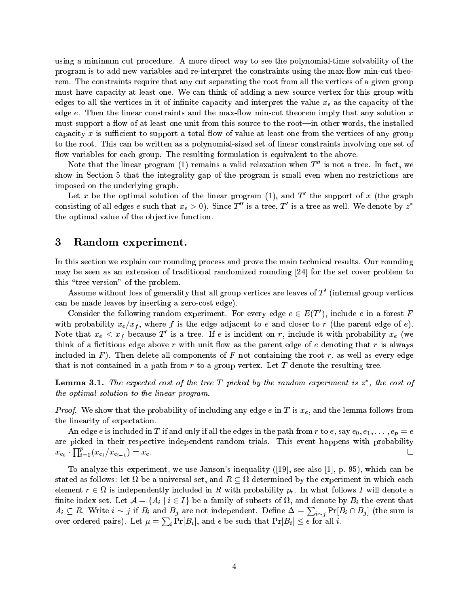using a minimum cut procedure. A more direct way to see the polynomial-time solvability of the program is to add new variables and re-interpret the constraints using the max-flow min-cut theorem. The constraints require that any cut separating the root from all the vertices of a given group must have capacity at least one. We can think of adding a new source vertex for this group with es in the vertices the value of the second completes  $\mu$  and the value  $\mu$  in the value  $\mu$  and  $\mu$  as the value edge  $e$ . Then the linear constraints and the max-flow min-cut theorem imply that any solution x must support a flow of at least one unit from this source to the root—in other words, the installed capacity x is sufficient to support a total flow of value at least one from the vertices of any group to the root. This an be written as a polynomial-sized set of linear onstraints involving one set of flow variables for each group. The resulting formulation is equivalent to the above.

Note that the linear program (1) remains a valid relaxation when  $T''$  is not a tree. In fact, we show in Section 5 that the integrality gap of the program is small even when no restrictions are imposed on the underlying graph.

Let x be the optimal solution of the linear program (1), and  $T$  the support of x (the graph consisting of all edges e such that  $x_e > 0$ ). Since T  $\,$  is a tree, T  $\,$  is a tree as well. We denote by  $z$ the optimal value of the objective function.

## 3Random experiment.

In this section we explain our rounding process and prove the main technical results. Our rounding may be seen as an extension of traditional randomized rounding  $[24]$  for the set cover problem to this "tree version" of the problem.

Assume without loss of generality that all group vertices are leaves of  $T$  (internal group vertices an be made leaves by inserting a zeroost edge).

Consider the following random experiment. For every edge  $e \in E(T)$ , include e in a forest  $F$ with probability  $\alpha$  , where  $f$  is the edge adjacence of examples of estimating parameters  $\alpha$ Note that  $x_e \leq x_f$  because 1 is a tree. If e is incluent on r, include it with probability  $x_e$  (we think of a fictitious edge above  $r$  with unit flow as the parent edge of  $e$  denoting that  $r$  is always included in  $F$ ). Then delete all components of F not containing the root r, as well as every edge that is not contained in a path from  $r$  to a group vertex. Let  $T$  denote the resulting tree.

 $\bf L$ emma  $\bf 3.1.$  The expected cost of the tree  $\bf 1$  picked by the random experiment is  $\bf z$  , the cost of the optimal solution to the linear program.

*Proof.* We show that the probability of including any edge e in T is  $x_e$ , and the lemma follows from the linearity of expe
tation.

An edge e is included in T if and only if all the edges in the path from r to e, say  $e_0, e_1, \ldots, e_p = e$ are picked in their respective independent random trials. This event happens with probability  $\prod_{i=1}^p (x_{e_i}/x_{e_{i-1}}) = x_e.$  $\Box$  $\sim$  cu

To analyze this experiment, we use Janson's inequality  $(19)$ , see also  $[1]$ , p. 95), which can be stated as follows: let  $\alpha$  universal set, and R  $\alpha$  universal set, and R  $\alpha$  universal set, and R  $\alpha$ element r 2 is independently in R with probability probability probability probability probability probability probability probability probability probability probability probability probability probability probability pro nite index set. Let  $\mathcal{A}$  if  $\mathcal{A}$  is an afaint that event the event that event the event that event the event that event the event that event the event that event the event that event the event that event the event  $A_i \subseteq R$ . Write  $i \sim j$  if  $B_i$  and  $B_j$  are not independent. Define  $\Delta = \sum_{i \sim j} \Pr[B_i \cap B_j]$  (the sum is over ordered pairs). Let  $\mu = \sum_i \Pr[B_i],$  and  $\epsilon$  be such that  $\Pr[B_i] \leq \epsilon$  for all  $i$ .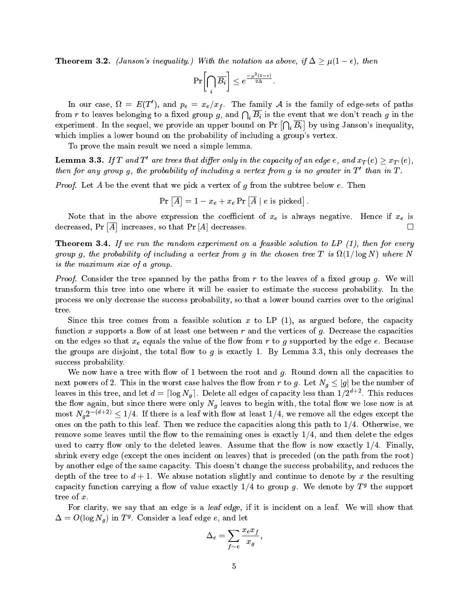**Theorem 3.2.** (Janson's inequality.) With the notation as above, if  $\Delta \geq \mu(1 - \epsilon)$ , then

$$
\Pr\!\left[\bigcap_i \overline{B_i}\right] \leq e^{\frac{-\mu^2(1-\epsilon)}{2\Delta}}.
$$

In our case,  $\mu = E(T)$ , and  $p_e = x_e / x_f$ . The family A is the family of edge-sets of paths from  $r$  to leaves belonging to a fixed group  $g$ , and  $\bigcap_i B_i$  is the event that we don't reach  $g$  in the experiment. In the sequel, we provide an upper bound on Pr  $\cap$ i $\overline{\phantom{a}}$  by using Janson's inequality, which implies a lower bound on the probability of including a group's vertex.

To prove the main result we need a simple lemma.

**Lemma 5.3.** If I and I are trees that differ only in the capacity of an eage e, and  $x_T(e) \geq x_{T'}(e)$ , then for any group  $q$ , the probability of incluaing a vertex from  $q$  is no greater in  $1$  -than in  $1$  .

*Proof.* Let A be the event that we pick a vertex of g from the subtree below  $e$ . Then

$$
\Pr\left[\overline{A}\right]=1-x_e+x_e\Pr\left[\overline{A}\mid e\right]
$$
 is picked

Note that in the above expression the oeÆ
ient of xe is always negative. Hen
e if xe is  $\mathrm{decreased}.$  Pr  $\Box$ . . П reases, so that Press, and the press, and the press, and the press, and the press, and the press, and the press, and

**Theorem 3.4.** If we run the random experiment on a feasible solution to LP  $(1)$ , then for every group g, the probability of in
luding a vertex from g in the hosen tree T is (1= log N) where N is the maximum size of a group.

*Proof.* Consider the tree spanned by the paths from r to the leaves of a fixed group q. We will transform this tree into one where it will be easier to estimate the success probability. In the process we only decrease the success probability, so that a lower bound carries over to the original tree.

Since this tree comes from a feasible solution x to LP  $(1)$ , as argued before, the capacity function x supports a flow of at least one between r and the vertices of g. Decrease the capacities on the edges so that  $\alpha$  equals the value of the estimate e. Beginning employment  $\alpha$  , the edge e. Because the groups are disjoint, the total flow to g is exactly 1. By Lemma 3.3, this only decreases the success probability.

We now have a tree with flow of 1 between the root and  $q$ . Round down all the capacities to next powers of 2. This in the worst the worst in the number of 2. This is graduate the number of 2. This is gra leaves in this tree, and let  $a = \lfloor \log N_g \rfloor$ . Delete all edges of capacity less than 1/2  $^{\circ}$  . This reduces  $\mathbf{0}$  is a single-weight with with the total  $\mathbf{0}$  is at the total total total total the total total total total to be ginal total to be ginal to be ginal to be ginal to be ginal to be ginal to be ginal to be ginal most  $N_a 2^{-(d+2)} \le 1/4$ . If there is a leaf with flow at least 1/4, we remove all the edges except the ones on the path to this leaf. Then we reduce the capacities along this path to  $1/4$ . Otherwise, we remove some leaves until the flow to the remaining ones is exactly  $1/4$ , and then delete the edges used to carry flow only to the deleted leaves. Assume that the flow is now exactly  $1/4$ . Finally, shrink every edge (except the ones incident on leaves) that is preceded (on the path from the root) by another edge of the same capacity. This doesn't change the success probability, and reduces the depth of the tree to  $d+1$ . We abuse notation slightly and continue to denote by x the resulting capacity function carrying a now of value exactly  $1/4$  to group  $q$ . We denote by  $T^s$  the support tree of x.

For clarity, we say that an edge is a leaf edge, if it is incident on a leaf. We will show that  $\Delta = O(\log N_a)$  in T<sup>o</sup>. Consider a leaf edge e, and let

$$
\Delta_e = \sum_{f \sim e} \frac{x_e x_f}{x_g},
$$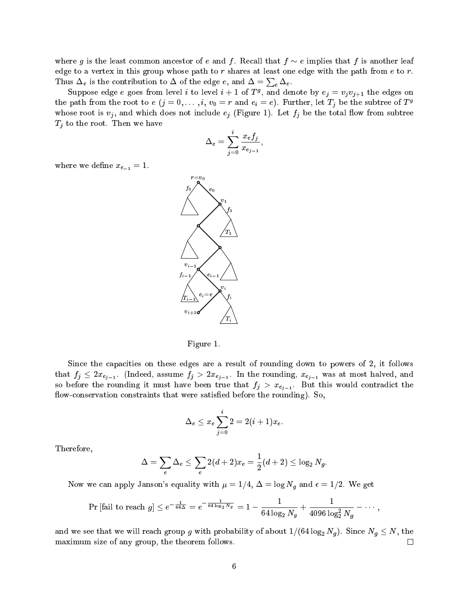where g is the least common ancestor of e and f. Recall that  $f \sim e$  implies that f is another leaf edge to a vertex in this group whose path to  $r$  shares at least one edge with the path from  $e$  to  $r$ . Thus  $\Delta_e$  is the contribution to  $\Delta$  of the edge  $e,$  and  $\Delta = \sum_e \Delta_e$ .

Suppose edge e goes from level i to level  $i + 1$  of  $T<sup>g</sup>$ , and denote by  $e_i = v_i v_{i+1}$  the edges on the path from the root to  $e$   $(j = 0, \ldots, i, v_0 = r$  and  $e_i = e$ ). Further, let  $T_j$  be the subtree of  $T^g$ where the contract  $\alpha$  and which does not interesting to  $\alpha$  (Figure 1). Here,  $\beta$  , we find the total model which T<sub>j</sub> to the root. Then we have the root of the root. Then we have the root of the root. Then we have the root of the root. Then we have the root of the root. The root of the root of the root of the root of the root of the

$$
\Delta_e=\sum_{j=0}^i\frac{x_e f_j}{x_{e_{j-1}}},
$$

where we define  $x_{e-1} = 1$ .



Figure 1.

Since the capacities on these edges are a result of rounding down to powers of 2, it follows . That finds for  $f$   $j$   $j$   $k$   $2n-1$ . The rounding, and  $f$  and  $f$  and  $f$   $j$   $k$   $j$   $k$   $k$   $j$ so before the rounding it must have the true that finite  $f$   $\rightarrow$   $\ldots$   $\ell_{l-1}$  . But this would there were the flow-conservation constraints that were satisfied before the rounding). So,

$$
\Delta_e \leq x_e \sum_{j=0}^i 2 = 2(i+1)x_e.
$$

Therefore,

$$
\Delta=\sum_e \Delta_e \leq \sum_e 2(d+2)x_e=\frac{1}{2}(d+2)\leq \log_2 N_g.
$$

Now we can apply Janson's equality with  $\mu = 1/4, \Delta = \log N_g$  and  $\epsilon = 1/2$ . We get

$$
\Pr\left[\text{fail to reach } g\right] \leq e^{-\frac{1}{64\Delta}} = e^{-\frac{1}{64\log_2 N_g}} = 1 - \frac{1}{64\log_2 N_g} + \frac{1}{4096\log_2^2 N_g} - \cdots,
$$

and we see that we will reach group g with probability of about  $1/(64 \log_2 N_g)$ . Since  $N_g \le N$ , the maximum size of any group, the theorem follows.  $\Box$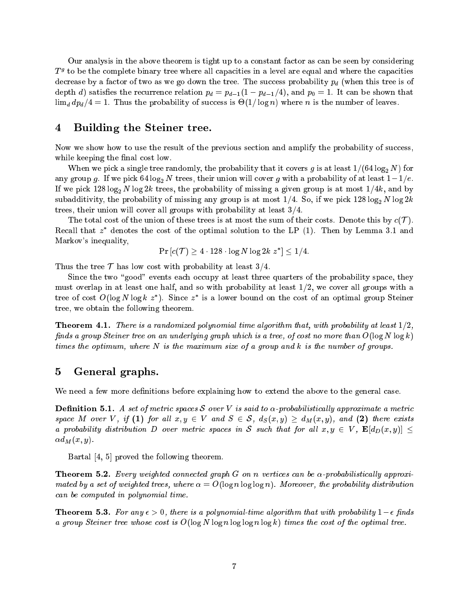Our analysis in the above theorem is tight up to a onstant fa
tor as an be seen by onsidering  $I$   $\sigma$  to be the complete binary tree where all capacities in a level are equal and where the capacities decrease by a faithful the tree is of tree is of tree is of tree is of tree is of tree is of tree is of tree i  $\alpha$  , and the relation point  $\alpha$  is the particle  $\alpha$  ,  $\alpha$  ,  $\alpha$  ,  $\alpha$  ,  $\alpha$  ,  $\alpha$  ,  $\alpha$  ,  $\alpha$  ,  $\alpha$  ,  $\alpha$  ,  $\alpha$  ,  $\alpha$  ,  $\alpha$  ,  $\alpha$  ,  $\alpha$  ,  $\alpha$  ,  $\alpha$  ,  $\alpha$  ,  $\alpha$  ,  $\alpha$  ,  $\alpha$  ,  $\alpha$  ,  $\alpha$  ,  $\alpha$  ,  $\$ limate discussions that the successive of successive or  $\alpha$  (  $\alpha$  ) where  $\alpha$  is the number of leaves.

## 4Building the Steiner tree.

Now we show how to use the result of the previous section and amplify the probability of success, while keeping the final cost low.

When we pick a single tree randomly, the probability that it covers g is at least  $1/(64 \log_2 N)$  for any group g. If we pick  $64 \log_2 N$  trees, their union will cover g with a probability of at least  $1-1/e$ . If we pick 128  $\log_2 N \log 2k$  trees, the probability of missing a given group is at most  $1/4k$ , and by subadditivity, the probability of missing any group is at most  $1/4$ . So, if we pick  $128 \log_2 N \log 2k$ trees, their union will cover all groups with probability at least  $3/4$ .

The total cost of the union of these trees is at most the sum of their costs. Denote this by  $c(\mathcal{T})$ . Recall that  $z$  denotes the cost of the optimal solution to the LP  $(1)$ . Then by Lemma 3.1 and Markov's inequality,

$$
\Pr\left[c(\mathcal{T}) \ge 4 \cdot 128 \cdot \log N \log 2k \ z^*\right] \le 1/4.
$$

Thus the tree  $\mathcal T$  has low cost with probability at least 3/4.

Since the two "good" events each occupy at least three quarters of the probability space, they must overlap in at least one half, and so with probability at least  $1/2$ , we cover all groups with a tree of cost  $O(\log N \log K z)$ . Since z is a lower bound on the cost of an optimal group Steiner tree, we obtain the following theorem.

**Theorem 4.1.** There is a randomized polynomial time algorithm that, with probability at least  $1/2$ , finds a group Steiner tree on an underlying graph which is a tree, of cost no more than  $O(\log N \log k)$ times the optimum, where  $N$  is the maximum size of a group and  $k$  is the number of groups.

# 5General graphs.

We need a few more definitions before explaining how to extend the above to the general case.

**Definition 5.1.** A set of metric spaces S over V is said to  $\alpha$ -probabilistically approximate a metric  $\mathbb{P}^1$  , if  $\mathbb{P}^1$  , if  $\mathbb{P}^1$  ,  $\mathbb{P}^1$  and  $\mathbb{P}^1$  and  $\mathbb{P}^1$  and  $\mathbb{P}^1$  and  $\mathbb{P}^1$  and  $\mathbb{P}^1$  and  $\mathbb{P}^1$  and  $\mathbb{P}^1$  and  $\mathbb{P}^1$  and  $\mathbb{P}^1$  and  $\mathbb{P}^1$  and  $\mathbb{P}^1$ a probability distribution D over metric spaces in S such that for all  $x, y \in V$ ,  $\mathbf{E}[d_D(x, y)] \leq$  $\alpha d_M(x,y)$ .

Bartal  $[4, 5]$  proved the following theorem.

**Theorem 5.2.** Every weighted connected graph G on n vertices can be  $\alpha$ -probabilistically approximated by a set of weighted trees, where  $\alpha = O(\log n \log \log n)$ . Moreover, the probability distribution an be omputed in polynomial time.

**Theorem 5.3.** For any  $\epsilon > 0$ , there is a polynomial-time algorithm that with probability  $1-\epsilon$  finds a group Steiner tree whose cost is  $O(\log N \log n \log \log n \log k)$  times the cost of the optimal tree.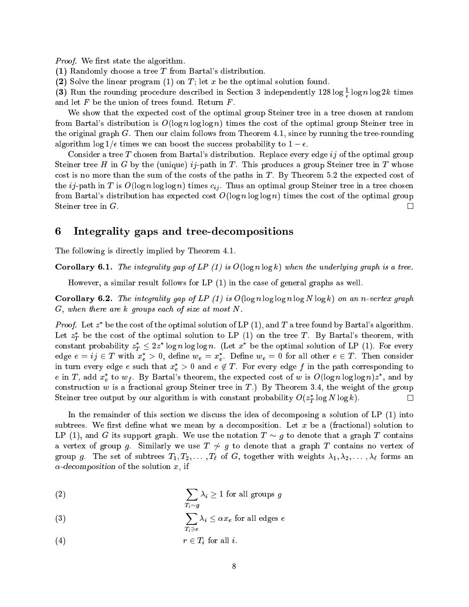*Proof.* We first state the algorithm.

(1) Randomly hoose a tree T from Bartal's distribution.

(2) Solve the linear program  $(1)$  on T; let x be the optimal solution found.

(3) Kun the rounding procedure described in Section 3 independently 128 log – log n log 2k times and let  $F$  be the union of trees found. Return  $F$ .

We show that the expected cost of the optimal group Steiner tree in a tree chosen at random from Bartal's distribution is  $O(\log n \log \log n)$  times the cost of the optimal group Steiner tree in the original graph  $G$ . Then our claim follows from Theorem 4.1, since by running the tree-rounding algorithm  $\log 1/\epsilon$  times we can boost the success probability to  $1-\epsilon$ .

Consider a tree T chosen from Bartal's distribution. Replace every edge  $ij$  of the optimal group Steiner tree H in G by the (unique)  $ij$ -path in T. This produces a group Steiner tree in T whose cost is no more than the sum of the costs of the paths in  $T$ . By Theorem 5.2 the expected cost of the induced in T is O is O log in O is O is an optimal for the steiner optimal group Steiner tree in a tree in from Bartal's distribution has expected cost  $O(\log n \log \log n)$  times the cost of the optimal group  $\Box$ Steiner tree in G.

# 6Integrality gaps and tree-de
ompositions

The following is directly implied by Theorem 4.1.

**Corollary 6.1.** The integrality gap of LP (1) is  $O(\log n \log k)$  when the underlying graph is a tree.

However, a similar result follows for LP (1) in the ase of general graphs as well.

**Corollary 6.2.** The integrality gap of LP (1) is  $O(\log n \log \log n \log N \log k)$  on an n-vertex graph  $G$ , when there are k groups each of size at most  $N$ .

*Proof.* Let  $z^*$  be the cost of the optimal solution of LP (1), and T a tree found by Bartal's algorithm. Let  $z_T^*$  be the cost of the optimal solution to LP (1) on the tree T. By Bartal's theorem, with  $\overline{\phantom{0}}$ constant probability  $z_T \leq zz$  log n log log n. (Let x be the optimal solution of LP (1). For every edge  $e = y \in I$  with  $x_e > 0$ , define  $w_e = x_e$ . Define  $w_e = 0$  for all other  $e \in I$ . Then consider in turn every edge e such that  $x_e > 0$  and  $e \notin I$  . For every edge f in the path corresponding to e in T, add  $x_e^*$  to  $w_f$ . By Bartal's theorem, the expected cost of w is  $O(\log n \log \log n)z^*$ , and by construction w is a fractional group Steiner tree in  $T$ .) By Theorem 3.4, the weight of the group  $\Box$ Steiner tree output by our algorithm is with constant probability  $O(z_T \log N \log k)$ .

In the remainder of this section we discuss the idea of decomposing a solution of LP (1) into subtrees. We first define what we mean by a decomposition. Let x be a (fractional) solution to LP (1), and G its support graph. We use the notation  $T \sim g$  to denote that a graph T contains a vertex of group g. Similarly we use  $T \nsim g$  to denote that a graph T contains no vertex of group g. The set of subtrees T1; T2; : : : ; T` of G, together with weights 1; 2; : : : ; ` forms an  $\alpha$ -decomposition of the solution x, if

(2) 
$$
\sum_{T_i \sim g} \lambda_i \ge 1 \text{ for all groups } g
$$

(3) 
$$
\sum_{T_i \ni e} \lambda_i \leq \alpha x_e \text{ for all edges } e
$$

(a) r  $\alpha$  and  $\alpha$  is a time of  $\alpha$  and  $\alpha$  is a time of  $\alpha$  in all in all in all in all in all in all in all in all in all in all in all in all in all in all in all in all in all in all in all in all in all in all in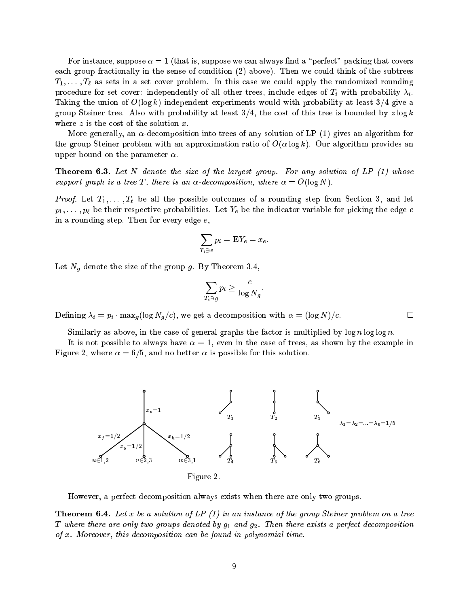For instance, suppose  $\alpha = 1$  (that is, suppose we can always find a "perfect" packing that covers each group fractionally in the sense of condition (2) above). Then we could think of the subtrees T1; : : : ; T` as sets in <sup>a</sup> set over problem. In this ase we ould apply the randomized rounding pro
edure for set over: independently of all other trees, in
lude edges of Ti with probability i. Taking the union of  $O(\log k)$  independent experiments would with probability at least  $3/4$  give a group Steiner tree. Also with probability at least  $3/4$ , the cost of this tree is bounded by  $z \log k$ where  $z$  is the cost of the solution  $x$ .

More generally, an  $\alpha$ -decomposition into trees of any solution of LP (1) gives an algorithm for the group Steiner problem with an approximation ratio of  $O(\alpha \log k)$ . Our algorithm provides an upper bound on the parameter  $\alpha$ .

**Theorem 6.3.** Let N denote the size of the largest group. For any solution of LP  $(1)$  whose support graph is a tree T, there is an  $\alpha$ -decomposition, where  $\alpha = O(\log N)$ .

right can climber the all the and the possible outcomes in the possible output of a round step from Section 20 p1; : : ; pi be the edge edge entity probabilities. Let ye be the experiment the indicated the implies in a rounding step. Then for every edge e,

$$
\sum_{T_i\ni e} p_i = \mathbf{E}Y_e = x_e.
$$

Let Ng denote the size of the group g. By Theorem 3.4,

$$
\sum_{T_i\ni g}p_i\geq \frac{c}{\log N_g}
$$

 $\Box$ 

 $\Box$  , we get a decided in the contract of the contract of the contract of the contract of the contract of the contract of the contract of the contract of the contract of the contract of the contract of the contract of th

Similarly as above, in the case of general graphs the factor is multiplied by  $\log n \log \log n$ .

It is not possible to always have  $\alpha = 1$ , even in the case of trees, as shown by the example in Figure 2, where  $\alpha = 6/5$ , and no better  $\alpha$  is possible for this solution.



However, a perfe
t de
omposition always exists when there are only two groups.

**Theorem 6.4.** Let x be a solution of LP  $(1)$  in an instance of the group Steiner problem on a tree T where there are only two groups denoted by  $g_1$  and  $g_2$ . Then there exists a perfect decomposition of x. Moreover, this decomposition can be found in polynomial time.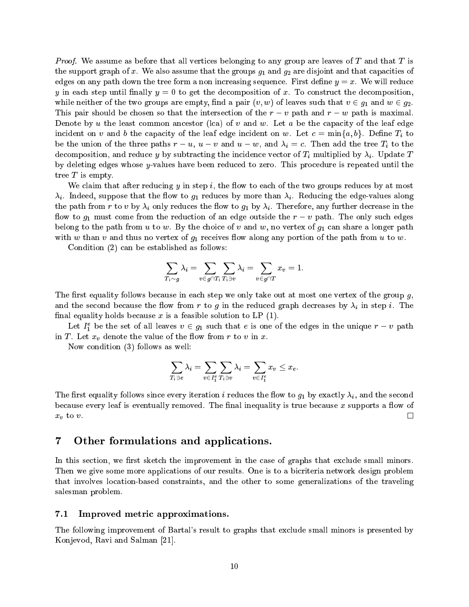*Proof.* We assume as before that all vertices belonging to any group are leaves of T and that T is the support graph of x. We also assume that the groups  $g_1$  and  $g_2$  are disjoint and that capacities of edges on any path down the tree form a non increasing sequence. First define  $y = x$ . We will reduce y in each step until finally  $y = 0$  to get the decomposition of x. To construct the decomposition, while neither of the two groups are empty, find a pair  $(v, w)$  of leaves such that  $v \in g_1$  and  $w \in g_2$ . This pair should be chosen so that the intersection of the  $r - v$  path and  $r - w$  path is maximal. Denote by u the least common ancestor (lca) of v and w. Let a be the capacity of the leaf edge ident on vand bij de leaf en werd in de verschieden de verschieden de verschieden de verschieden de verschiede  $\mathbf{r}$  , union of the tree paths r  $\mathbf{u}$ de omposition, and identify the internal proposition of the internal proposition of the internal proposition o by deleting edges whose  $y$ -values have been reduced to zero. This procedure is repeated until the tree  $T$  is empty.

We claim that after reducing y in step  $i$ , the flow to each of the two groups reduces by at most  $\lambda_i$ . Indeed, suppose that the flow to  $g_1$  reduces by more than  $\lambda_i$ . Reducing the edge-values along the path from r to v by i only redu
es the ow to g1 by i. Therefore, any further de
rease in the flow to  $g_1$  must come from the reduction of an edge outside the  $r - v$  path. The only such edges belong to the path from u to w. By the choice of v and w, no vertex of  $g_1$  can share a longer path with w than v and thus no vertex of  $g_1$  receives flow along any portion of the path from u to w.

Condition (2) an be established as follows:

$$
\sum_{T_i \sim g} \lambda_i = \sum_{v \in g \cap T_i} \sum_{T_i \ni v} \lambda_i = \sum_{v \in g \cap T} x_v = 1
$$

The first equality follows because in each step we only take out at most one vertex of the group  $g$ , and the second because the decar to the  $g$  in the reduced deployment of  $\alpha$  in the reduced  $\alpha$ final equality holds because  $x$  is a feasible solution to LP  $(1)$ .

Let  $I_1$  be the set of all leaves  $v \in g_1$  such that e is one of the edges in the unique  $r - v$  path  $\boldsymbol{u}$  . Let  $\boldsymbol{u}$  be value of the value of the value of the value of the value of the value of the value of the value of the value of the value of the value of the value of the value of the value of the value of the

Now condition (3) follows as well:

$$
\sum_{T_i \ni e} \lambda_i = \sum_{v \in I_1^e} \sum_{T_i \ni v} \lambda_i = \sum_{v \in I_1^e} x_v \leq x_e.
$$

The first equality follows since every iteration i reduces the flow to  $g_1$  by exactly  $\lambda_i$ , and the second because every leaf is eventually removed. The final inequality is true because x supports a flow of  $\Box$  $\cdots$   $\cdots$   $\cdots$ 

# 7Other formulations and appli
ations.

In this section, we first sketch the improvement in the case of graphs that exclude small minors. Then we give some more applications of our results. One is to a bicriteria network design problem that involves lo
ation-based onstraints, and the other to some generalizations of the traveling salesman problem.

#### 7.1Improved metri approximations.

The following improvement of Bartal's result to graphs that ex
lude small minors is presented by Konjevod, Ravi and Salman  $[21]$ .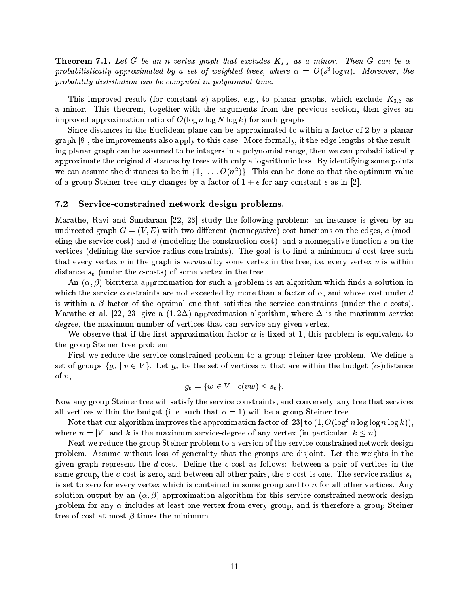Theorem 7.1. Let G be an n-vertex graph that ex
ludes Ks;s as <sup>a</sup> minor. Then <sup>G</sup> an be  $p$ rovavuisticatiy approximated by a set of weighted trees, where  $\alpha = \sigma(s)$  togn). Moreover, the probability distribution an be omputed in polynomial time.

This improved result (for constant s) applies, e.g., to planar graphs, which exclude  $K_{3,3}$  as a minor. This theorem, together with the arguments from the previous section, then gives an improved approximation ratio of  $O(\log n \log N \log k)$  for such graphs.

Since distances in the Euclidean plane can be approximated to within a factor of 2 by a planar  $graph [8]$ , the improvements also apply to this case. More formally, if the edge lengths of the resulting planar graph can be assumed to be integers in a polynomial range, then we can probabilistically approximate the original distances by trees with only a logarithmic loss. By identifying some points we can assume the distances to be in  $\{1,\ldots, O(n^2)\}$ . This can be done so that the optimum value of a group Steiner tree only changes by a factor of  $1 + \epsilon$  for any constant  $\epsilon$  as in [2].

#### $7.2$ Servi
eonstrained network design problems.

Marathe, Ravi and Sundaram  $[22, 23]$  study the following problem: an instance is given by an undirected graph  $G = (V, E)$  with two different (nonnegative) cost functions on the edges, c (modeling the service cost) and d (modeling the construction cost), and a nonnegative function s on the vertices (defining the service-radius constraints). The goal is to find a minimum  $d$ -cost tree such that every vertex  $v$  in the graph is *serviced* by some vertex in the tree, i.e. every vertex  $v$  is within e sv (under the tree some vertex in the tree some vertex in the tree some vertex in the tree some vertex in the tree.

An  $(\alpha, \beta)$ -bicriteria approximation for such a problem is an algorithm which finds a solution in which the service constraints are not exceeded by more than a factor of  $\alpha$ , and whose cost under d is within a  $\beta$  factor of the optimal one that satisfies the service constraints (under the c-costs). Marathe et al. [22, 23] give a  $(1,2\Delta)$ -approximation algorithm, where  $\Delta$  is the maximum service degree, the maximum number of vertices that can service any given vertex.

We observe that if the first approximation factor  $\alpha$  is fixed at 1, this problem is equivalent to the group Steiner tree problem.

First we reduce the service-constrained problem to a group Steiner tree problem. We define a set of groups for a vertical vertical contracts of vertical contracts of vertical contracts of vertical contracts of vertical contracts of vertical contracts of vertical contracts of vertical contracts of vertical contrac of  $v$ ,

$$
g_v = \{w \in V \mid c(vw) \leq s_v\}.
$$

Now any group Steiner tree will satisfy the service constraints, and conversely, any tree that services all vertices within the budget (i. e. such that  $\alpha = 1$ ) will be a group Steiner tree.

Note that our algorithm improves the approximation factor of [23] to (1, O(log\_n log log n log k)), where  $n = |V|$  and k is the maximum service-degree of any vertex (in particular,  $k \leq n$ ).

Next we reduce the group Steiner problem to a version of the service-constrained network design problem. Assume without loss of generality that the groups are disjoint. Let the weights in the given graph represent the d-cost. Define the c-cost as follows: between a pair of vertices in the same group, the c-cost is zero, and between all other pairs, the c-cost is one. The service radius  $s_v$ is set to zero for every vertex which is contained in some group and to  $n$  for all other vertices. Any solution output by an  $(\alpha, \beta)$ -approximation algorithm for this service-constrained network design problem for any  $\alpha$  includes at least one vertex from every group, and is therefore a group Steiner tree of cost at most  $\beta$  times the minimum.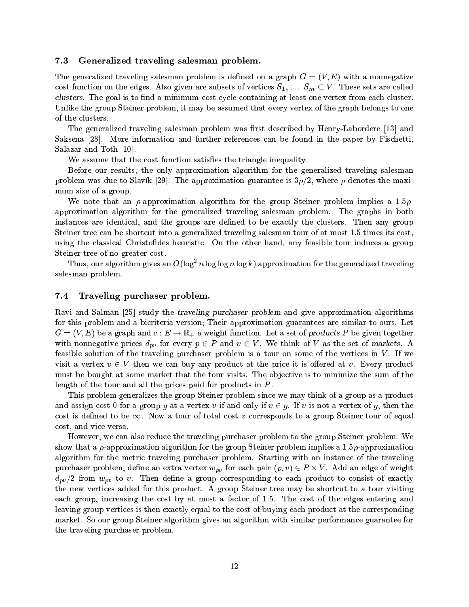#### 7.3Generalized traveling salesman problem.

The generalized traveling salesman problem is defined on a graph  $G = (V, E)$  with a nonnegative cost function on the edges. Also given are subsets of vertices  $S_1, \ldots, S_m \subseteq V$ . These sets are called clusters. The goal is to find a minimum-cost cycle containing at least one vertex from each cluster. Unlike the group Steiner problem, it may be assumed that every vertex of the graph belongs to one of the lusters.

The generalized traveling salesman problem was first described by Henry-Labordere [13] and Saksena [28]. More information and further references can be found in the paper by Fischetti. Salazar and Toth  $[10]$ .

We assume that the cost function satisfies the triangle inequality.

Before our results, the only approximation algorithm for the generalized traveling salesman problem was due to Slavík [29]. The approximation guarantee is  $3\rho/2$ , where  $\rho$  denotes the maximum size of a group.

We note that an  $\rho$ -approximation algorithm for the group Steiner problem implies a 1.5 $\rho$ approximation algorithm for the generalized traveling salesman problem. The graphs in both instan
es are identi
al, and the groups are dened to be exa
tly the lusters. Then any group Steiner tree can be shortcut into a generalized traveling salesman tour of at most 1.5 times its cost. using the classical Christofides heuristic. On the other hand, any feasible tour induces a group Steiner tree of no greater cost.

Thus, our algorithm gives an  $O(\log^2 n \log n \log k)$  approximation for the generalized traveling salesman problem.

#### $7,4$ Traveling pur
haser problem.

Ravi and Salman [25] study the *traveling purchaser problem* and give approximation algorithms for this problem and a bicriteria version; Their approximation guarantees are similar to ours. Let a set of the and the and the set of product function and the set of the set of a set of production to the set of the set of the set of the set of the set of the set of the set of the set of the set of the set of the set of with non-negative primes  $\neg p$  for every p 2 P and v 2 V  $\ldots$  . We think of V as the set of markets. As feasible solution of the traveling purchaser problem is a tour on some of the vertices in  $V$ . If we visit a vertex  $v \in V$  then we can buy any product at the price it is offered at v. Every product must be bought at some market that the tour visits. The objective is to minimize the sum of the length of the tour and all the prices paid for products in  $P$ .

This problem generalizes the group Steiner problem since we may think of a group as a product and assign cost 0 for a group g at a vertex v if and only if  $v \in g$ . If v is not a vertex of g, then the cost is defined to be  $\infty$ . Now a tour of total cost z corresponds to a group Steiner tour of equal ost, and vi
e versa.

However, we an also redu
e the traveling pur
haser problem to the group Steiner problem. We show that a  $\rho$ -approximation algorithm for the group Steiner problem implies a 1.5 $\rho$ -approximation algorithm for the metri traveling pur
haser problem. Starting with an instan
e of the traveling pur
haser problem, dene an extra vertex wpv for ea
h pair (p; v) <sup>2</sup> <sup>P</sup> - V . Add an edge of weight applied to the contract of the contract of the contract of the contract of the contract of the contract of the the new vertices added for this product. A group Steiner tree may be shortcut to a tour visiting each group, increasing the cost by at most a factor of 1.5. The cost of the edges entering and leaving group vertices is then exactly equal to the cost of buying each product at the corresponding market. So our group Steiner algorithm gives an algorithm with similar performan
e guarantee for the traveling pur
haser problem.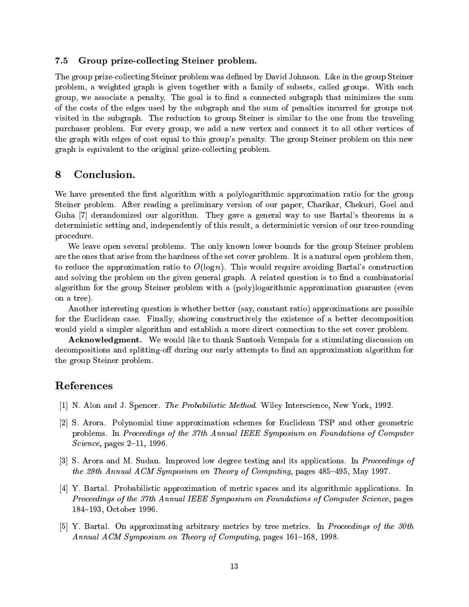#### 7.5Group prizeolle
ting Steiner problem.

The group prize-collecting Steiner problem was defined by David Johnson. Like in the group Steiner problem, a weighted graph is given together with a family of subsets, called groups. With each group, we associate a penalty. The goal is to find a connected subgraph that minimizes the sum of the osts of the edges used by the subgraph and the sum of penalties in
urred for groups not visited in the subgraph. The reduction to group Steiner is similar to the one from the traveling purchaser problem. For every group, we add a new vertex and connect it to all other vertices of the graph with edges of ost equal to this group's penalty. The group Steiner problem on this new graph is equivalent to the original prizeolle
ting problem.

# 8 Con
lusion.

We have presented the first algorithm with a polylogarithmic approximation ratio for the group Steiner problem. After reading a preliminary version of our paper, Charikar, Chekuri, Goel and Guha [7] derandomized our algorithm. They gave a general way to use Bartal's theorems in a deterministic setting and, independently of this result, a deterministic version of our tree-rounding pro
edure.

We leave open several problems. The only known lower bounds for the group Steiner problem are the ones that arise from the hardness of the set over problem. It is a natural open problem then, to reduce the approximation ratio to  $O(\log n)$ . This would require avoiding Bartal's construction and solving the problem on the given general graph. A related question is to find a combinatorial algorithm for the group Steiner problem with a (poly)logarithmi approximation guarantee (even on a tree).

Another interesting question is whether better (say, onstant ratio) approximations are possible for the Euclidean case. Finally, showing constructively the existence of a better decomposition would yield a simpler algorithm and establish a more direct connection to the set cover problem.

**Acknowledgment.** We would like to thank Santosh Vempala for a stimulating discussion on decompositions and splitting-off during our early attempts to find an approximation algorithm for the group Steiner problem.

# Referen
es

- [1] N. Alon and J. Spencer. *The Probabilistic Method*. Wiley Interscience, New York, 1992.
- [2] S. Arora. Polynomial time approximation schemes for Euclidean TSP and other geometric problems. In Proceedings of the 37th Annual IEEE Symposium on Foundations of Computer  $Science$ , pages  $2-11$ , 1996.
- [3] S. Arora and M. Sudan. Improved low degree testing and its applications. In Proceedings of the 29th Annual ACM Symposium on Theory of Computing, pages  $485-495$ , May 1997.
- [4] Y. Bartal. Probabilistic approximation of metric spaces and its algorithmic applications. In Proceedings of the 37th Annual IEEE Symposium on Foundations of Computer Science, pages 184-193, October 1996.
- [5] Y. Bartal. On approximating arbitrary metrics by tree metrics. In *Proceedings of the 30th* Annual ACM Symposium on Theory of Computing, pages 161-168, 1998.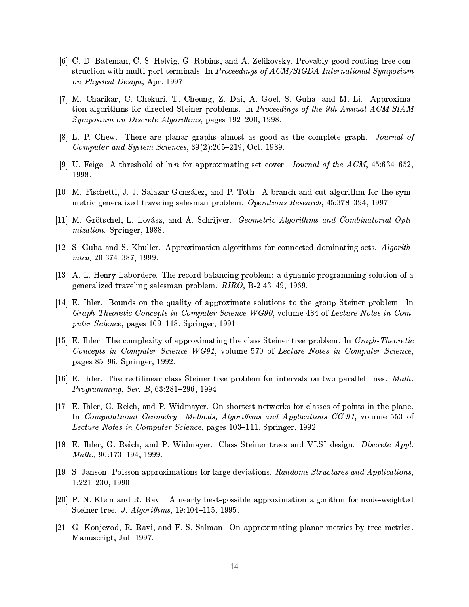- [6] C. D. Bateman, C. S. Helvig, G. Robins, and A. Zelikovsky. Provably good routing tree construction with multi-port terminals. In Proceedings of ACM/SIGDA International Symposium on Physi
al Design, Apr. 1997.
- [7] M. Charikar, C. Chekuri, T. Cheung, Z. Dai, A. Goel, S. Guha, and M. Li. Approximation algorithms for directed Steiner problems. In Proceedings of the 9th Annual ACM-SIAM Symposium on Discrete Algorithms, pages 192–200, 1998.
- [8] L. P. Chew. There are planar graphs almost as good as the complete graph. Journal of Computer and System Sciences,  $39(2):205-219$ , Oct. 1989.
- [9] U. Feige. A threshold of  $\ln n$  for approximating set cover. *Journal of the ACM*, 45:634–652, 1998.
- [10] M. Fischetti, J. J. Salazar González, and P. Toth. A branch-and-cut algorithm for the symmetric generalized traveling salesman problem. Operations Research, 45:378-394, 1997.
- [11] M. Grötschel, L. Lovász, and A. Schrijver. *Geometric Algorithms and Combinatorial Opti*mization. Springer, 1988.
- [12] S. Guha and S. Khuller. Approximation algorithms for connected dominating sets.  $Algorithms$ mica, 20:374-387, 1999.
- [13] A. L. Henry-Labordere. The record balancing problem: a dynamic programming solution of a generalized traveling salesman problem.  $RIRO$ , B-2:43-49, 1969.
- [14] E. Ihler. Bounds on the quality of approximate solutions to the group Steiner problem. In Graph-Theoretic Concepts in Computer Science WG90, volume 484 of Lecture Notes in Computer Science, pages 109-118. Springer, 1991.
- $[15]$  E. Ihler. The complexity of approximating the class Steiner tree problem. In *Graph-Theoretic* Concepts in Computer Science WG91, volume 570 of Lecture Notes in Computer Science. pages 85{96. Springer, 1992.
- [16] E. Ihler. The rectilinear class Steiner tree problem for intervals on two parallel lines. Math. Programming, Ser. B,  $63:281-296$ , 1994.
- [17] E. Ihler, G. Reich, and P. Widmayer. On shortest networks for classes of points in the plane. In Computational Geometry—Methods, Algorithms and Applications  $CG'91$ , volume 553 of Lecture Notes in Computer Science, pages 103–111. Springer, 1992.
- [18] E. Ihler, G. Reich, and P. Widmayer. Class Steiner trees and VLSI design. *Discrete Appl.*  $Math., 90:173-194, 1999.$
- [19] S. Janson. Poisson approximations for large deviations. Randoms Structures and Applications. 1:221-230, 1990.
- [20] P. N. Klein and R. Ravi. A nearly best-possible approximation algorithm for node-weighted Steiner tree. J. Algorithms, 19:104-115, 1995.
- [21] G. Konjevod, R. Ravi, and F. S. Salman. On approximating planar metrics by tree metrics. Manus
ript, Jul. 1997.